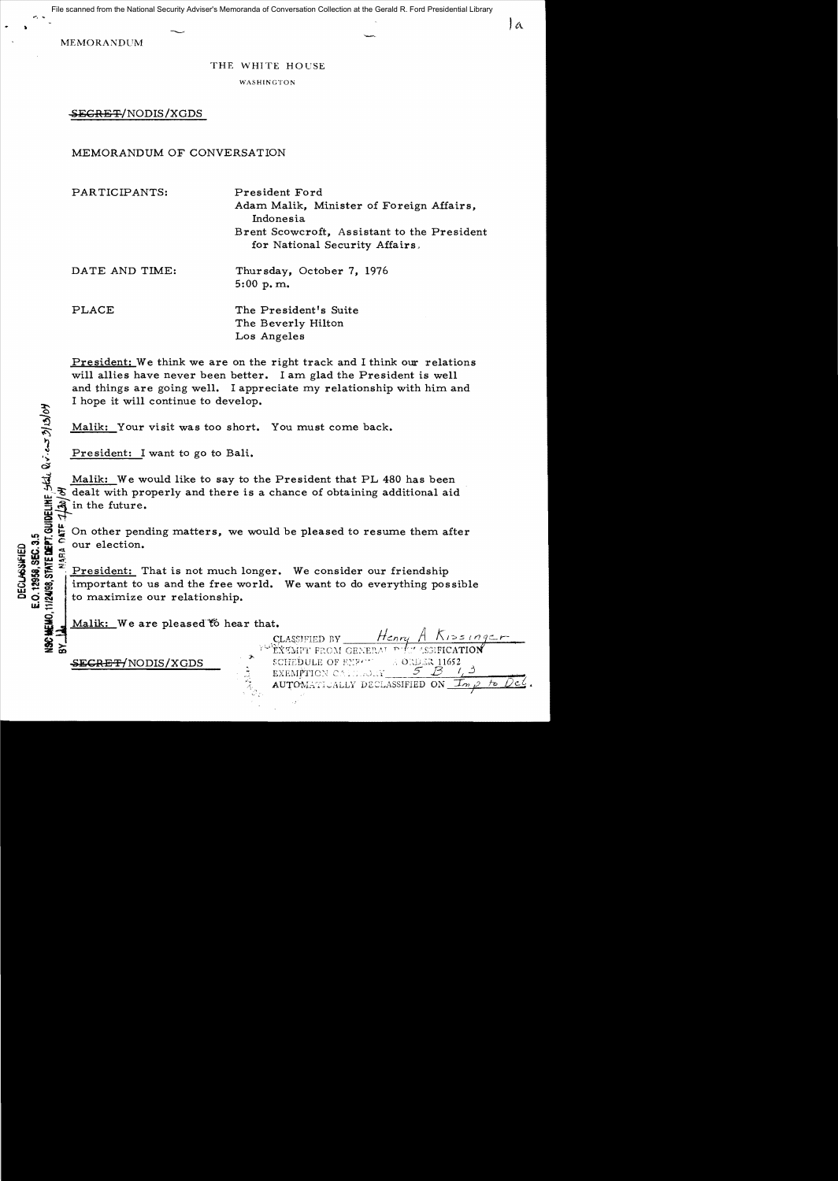File scanned from the National Security Adviser's Memoranda of Conversation Collection at the Gerald R. Ford Presidential Library

 $\mathbf{a}$ 

**MEMORANDUM** 

#### THE WHITE HOUSE

WASHINGTON

SEGRE T/NODIS / XGDS

## MEMORANDUM OF CONVERSATION

PARTICIPANTS: President Ford Adam Malik, Minister of Foreign Affairs, Indonesia Brent Scowcroft, Assistant to the President for National Security Affairs,

DATE AND TIME: Thursday, October 7, 1976 5:00 p. m.

PLACE

 $\overline{\mathbf{z}}$   $\mu$ 

..).

 $\overline{x}$   $\circ$   $\overline{z}$   $\overline{z}$ 

 $\bar{\mathbf{\hat{s}}}$ 

 $\Xi$   $\Xi$   $\Xi$ oo~**uJ:=**  The President's Suite The Beverly Hilton Los Angeles

President: We think we are on the right track and I think our relations will allies have never been better. I am glad the President is well and things are going well. I appreciate my relationship with him and I hope it will continue to develop.

Malik: Your visit was too short. You must come back.

President: I want to go to Bali.

l Malik: We would like to say to the President that PL 480 has been  $\mathcal{F}$  dealt with properly and there is a chance of obtaining additional aid in the future.

 $\frac{3}{2}$  $\frac{5}{2}$  $\frac{6}{2}$  $\frac{6}{2}$ !!! 닮 습 !! our election.

In the Constitution.<br>
In the cour election.<br>
In the cour election.<br>
In the consider of the president: That is not much longer. We consider our friendship<br>
In the state of the state of the state of the consider of the state ~~~": President: That is not much longer. We consider our friendship important to us and the free world. We want to do everything possible to maximize our relationship.

Malik: We are pleased to hear that.

SECRET/NODIS/XGDS

Henry CLASSIFIED BY Difor ASGIFI EXEMPT FROM GENERAL **SCHEDULE OF EYPO**  $\pm$  ORDER 11652 EXEMPTION CALL BOILY AUTOMATICALLY DECLASSIFIED ON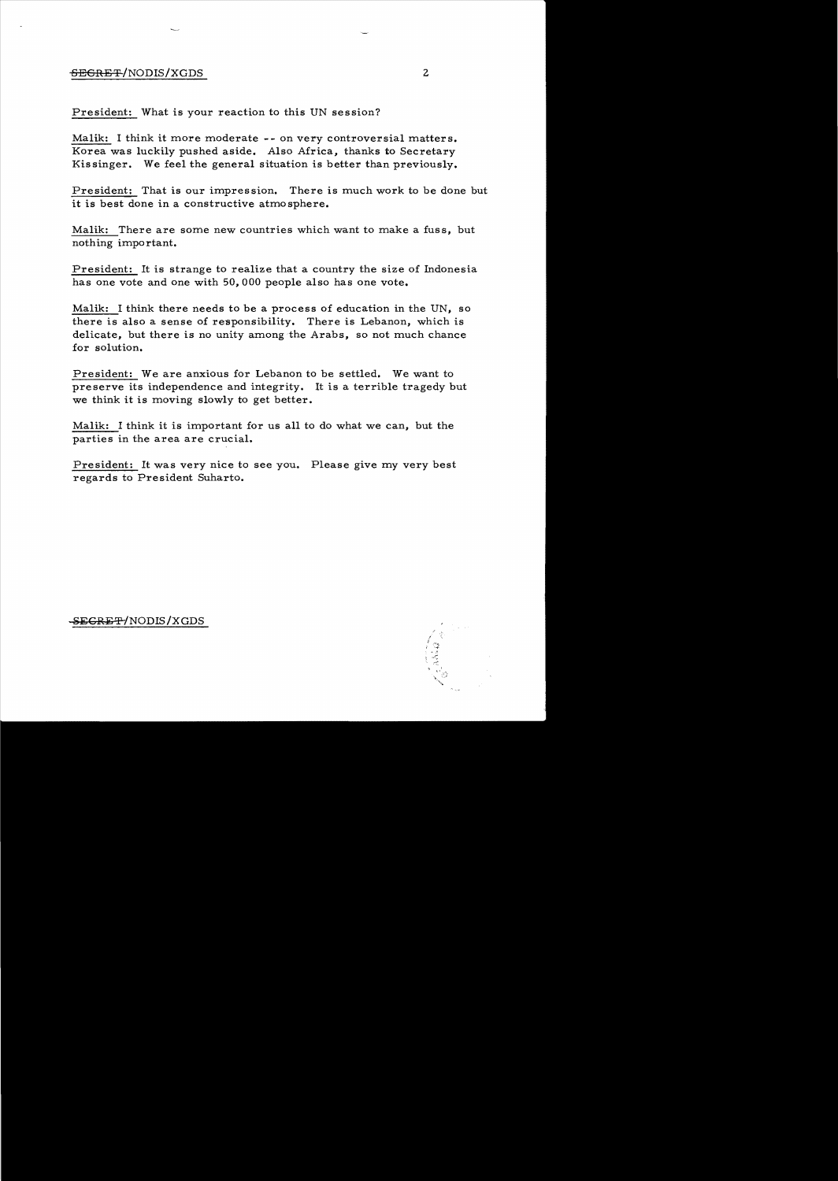## SECRET/NODIS/XGDS 2

President: What is your reaction to this UN session?

Malik: I think it more moderate -- on very controversial matters. Korea was luckily pushed aside. Also Africa, thanks to Secretary Kissinger. We feel the general situation is better than previously.

President: That is our impression. There is much work to be done but it is best done in a constructive atmo sphere.

Malik: There are some new countries which want to make a fuss, but nothing important.

President: It is strange to realize that a country the size of Indonesia has one vote and one with 50,000 people also has one vote.

Malik: I think there needs to be a process of education in the UN, so there is also a sense of responsibility. There is Lebanon, which is delicate, but there is no unity among the Arabs, so not much chance for solution.

President: We are anxious for Lebanon to be settled. We want to preserve its independence and integrity. It is a terrible tragedy but we think it is moving slowly to get better.

Malik: I think it is important for us all to do what we can, but the parties in the area are crucial.

President: It was very nice to see you. Please give my very best regards to President Suharto.

~EGRE *T-'/NODIS IXGDS*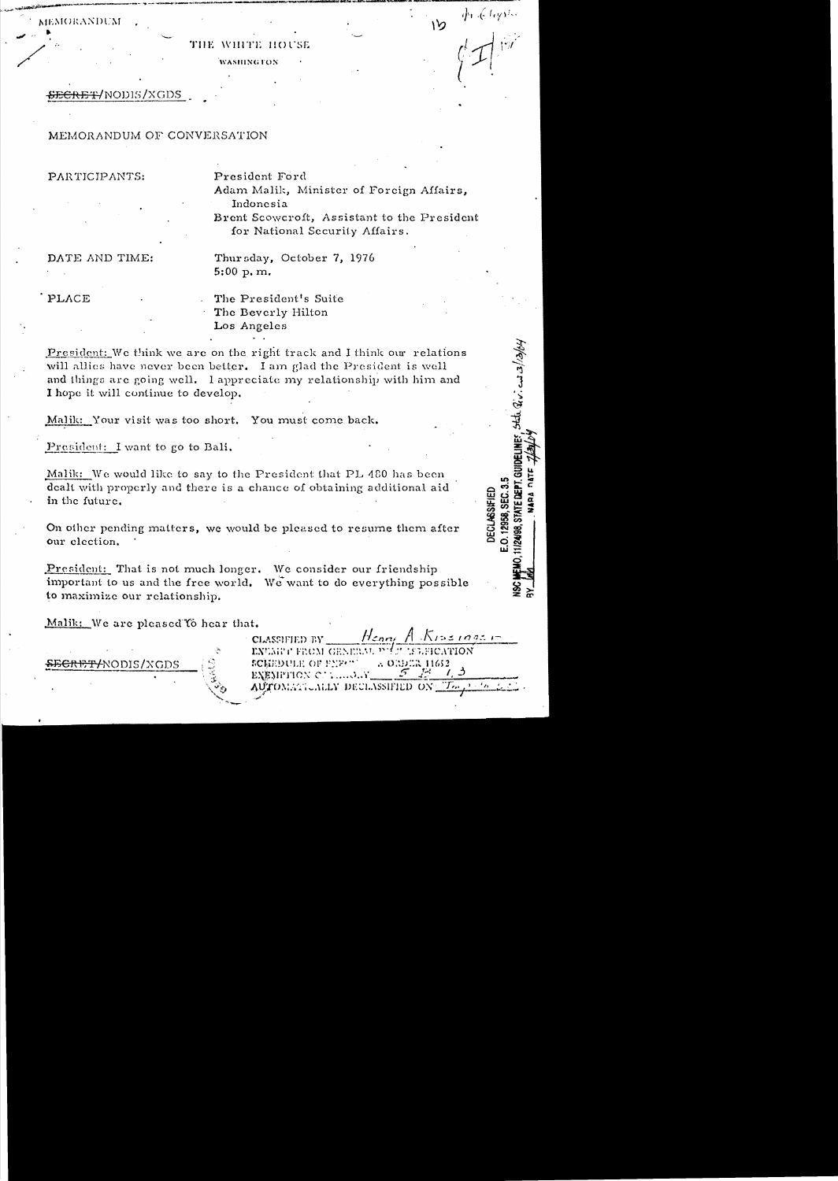**MEMORANDUM** 

#### THE WHITE HOUSE

**WASHINGTON** 

<del>SECRET</del>/NODIS/XGDS

# MEMORANDUM OF CONVERSATION

PARTICIPANTS:

President Ford Adam Malik, Minister of Foreign Affairs, Indonesia

Brent Scowcroft, Assistant to the President for National Security Affairs.

 $\oint e \langle \vec{\xi} | \vec{t} \vec{\epsilon} \vec{y} \rangle \vec{\xi} \rangle$ 

**IDELINES**, state Q'v". and  $2/13/6$ 

**DECLASSIFIED** 12958, SEC.

DATE AND TIME:

Thursday, October 7, 1976  $5:00 p, m.$ 

PLACE

The President's Suite The Beverly Hilton Los Angeles

President: We think we are on the right track and I think our relations will allies have never been better. I am glad the President is well and things are going well. I appreciate my relationship with him and I hope it will continue to develop.

Malik: Your visit was too short. You must come back.

President: I want to go to Bali.

Malik: We would like to say to the President that PL 480 has been dealt with properly and there is a chance of obtaining additional aid in the future.

On other pending matters, we would be pleased to resume them after our election.

President: That is not much longer. We consider our friendship important to us and the free world. We want to do everything possible to maximize our relationship.

Malik: We are pleased to hear that.

<del>SECRET/</del>NODIS/XGDS

CLASSIFIED BY EXUMPT FROM GENERAL PHET ISSEICATION A ORDER 11652 SCREDULE OF FURTH ЕХЕМРИОХ С. Г. ....О. Ү. AUTOMATICALLY DECLASSIFIED ON

Henri A Kissings  $r$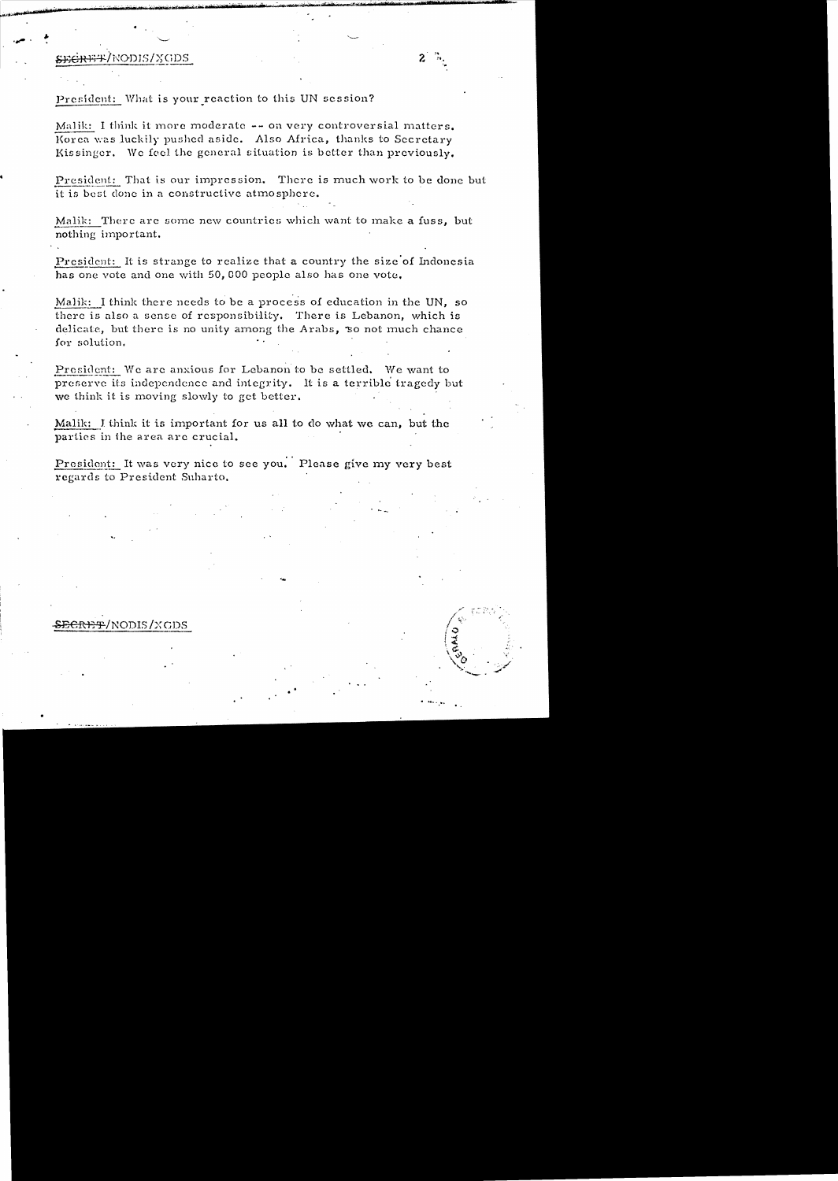# SEGREE/NODIS/XGDS

Malik: I think it more moderate -- on very controversial matters. Korea was luckily pushed aside. Also Africa, thanks to Secretary Kissinger. We feel the general situation is better than previously.

President: That is our impression. There is much work to be done but it is best done in a constructive atmosphere.

Malik: There are some new countries which want to make a fuss, but nothing important.

President: It is strange to realize that a country the size of Indonesia has one vote and one with 50,000 people also has one vote.

Malik: I think there needs to be a process of education in the UN, so there is also a sense of responsibility. There is Lebanon, which is delicate, but there is no unity among the Arabs, so not much chance for solution.

President: We are anxious for Lebanon to be settled. We want to preserve its independence and integrity. It is a terrible tragedy but we think it is moving slowly to get better.

Malik: I think it is important for us all to do what we can, but the parties in the area are crucial.

President: It was very nice to see you. Please give my very best regards to President Suharto.

# SECRET/NODIS/XGDS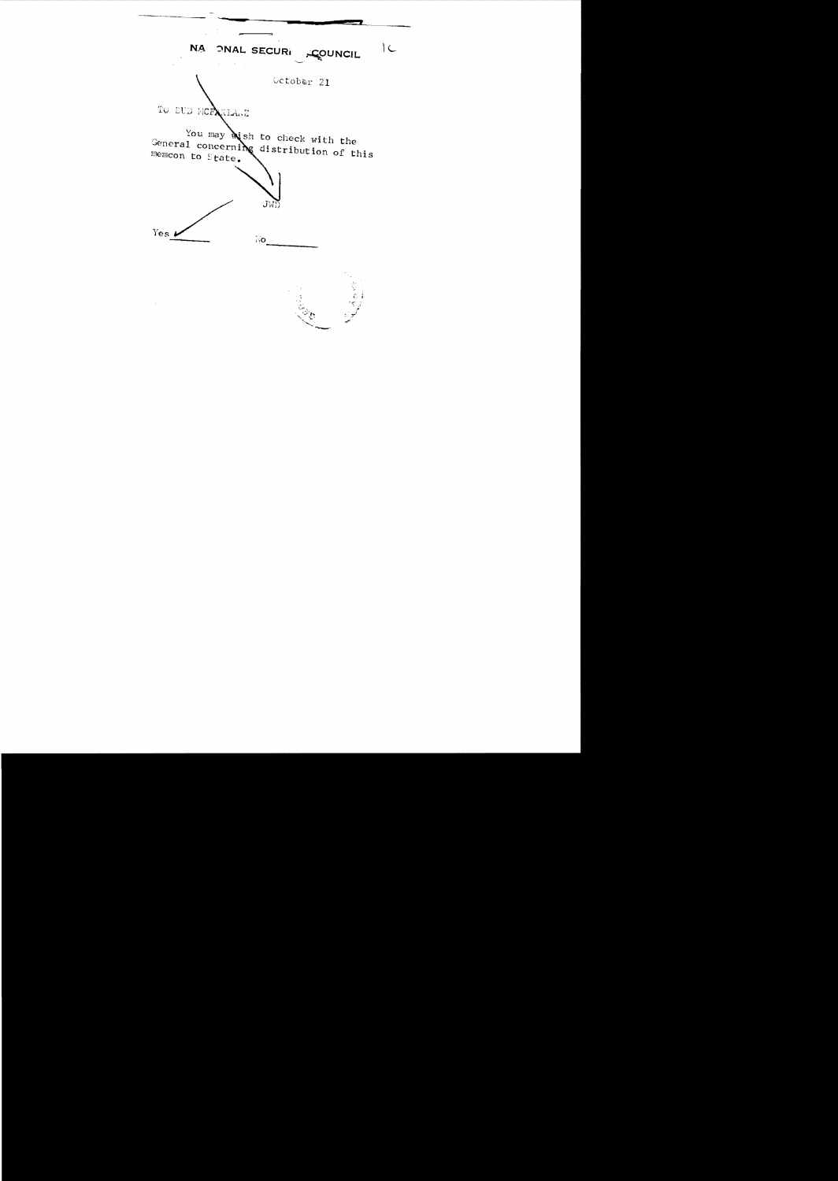$\mid$   $\zeta_{\rm e}$ NA ONAL SECURI COUNCIL Getober 21 TO DUD MCRANIANE You may with to check with the General concerning distribution of this memcon to State. JWD Yes  $\boldsymbol{\nu}$  $N_{\rm O}$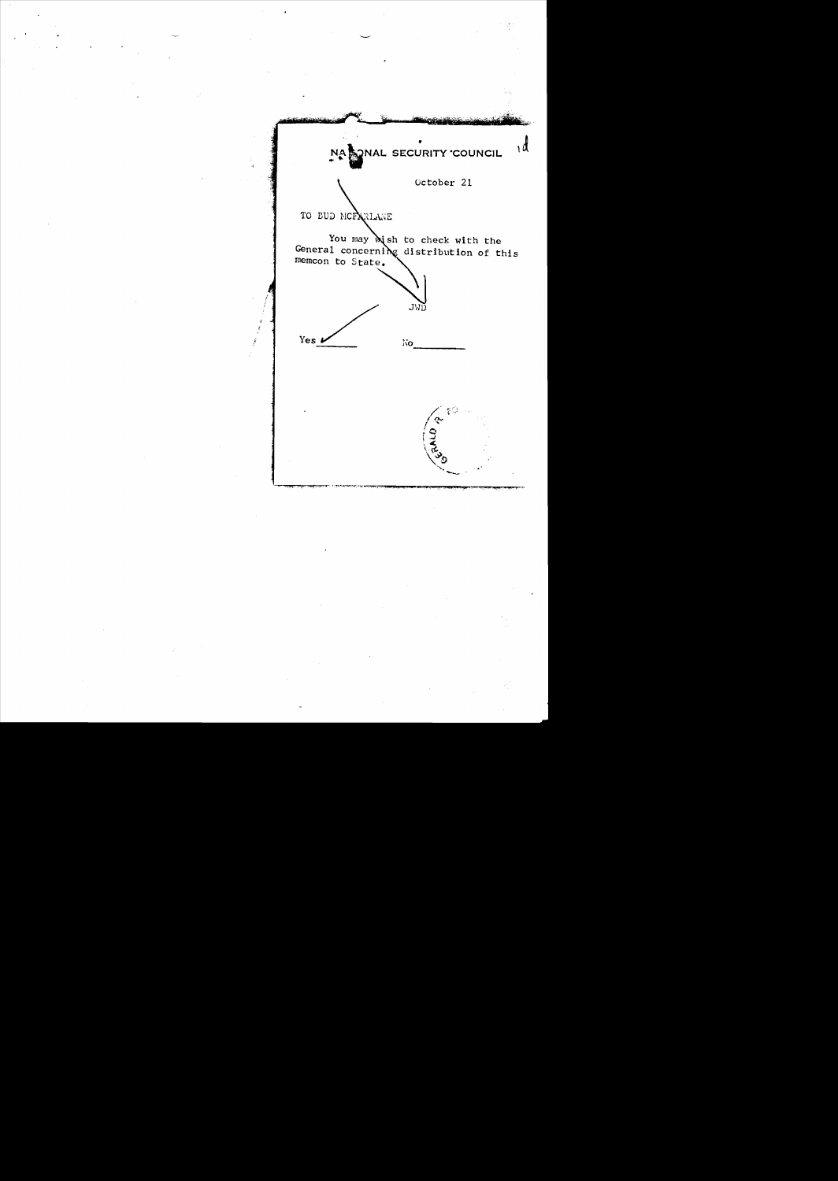$\overline{\mathcal{A}}$ NA QUAL SECURITY COUNCIL October 21 TO BUD MCPARLANE You may wish to check with the<br>General concerning distribution of this<br>memcon to State. JWD Yes  $\boldsymbol{\nu}$ No. g ()  $\frac{1}{2}$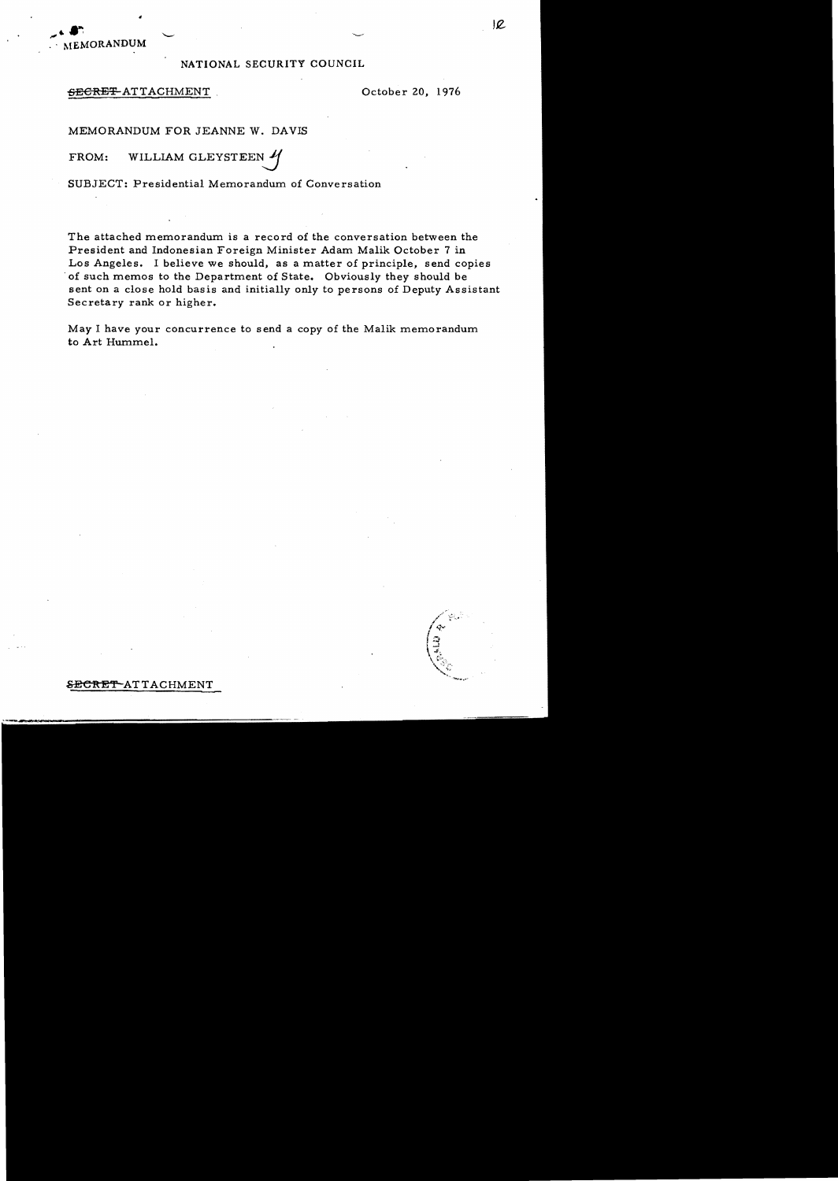MEMORANDUM

#### NATIONAL SECURITY COUNCIL

#### $\overline{\text{SE}}$ GRET-ATTACHMENT Cotober 20, 1976

MEMORANDUM FOR JEANNE W. DAVIS

FROM: WILLIAM GLEYSTEEN

SUBJECT: Presidential Memorandum of Conversation

The attached memorandum is a record of the conversation between the President and Indonesian Foreign Minister Adam Malik October 7 in Los Angeles. I believe we should, as a matter of principle, send copies . of such memos to the Department of State. Obviously they should be sent on a close hold basis and initially only to persons of Deputy Assistant Secretary rank or higher.

May I have your concurrence to send a copy of the Malik memorandum to Art Hummel.

 $\mathcal{L} \bullet \bullet$ .  $\Box$ 

SECRET ATTACHMENT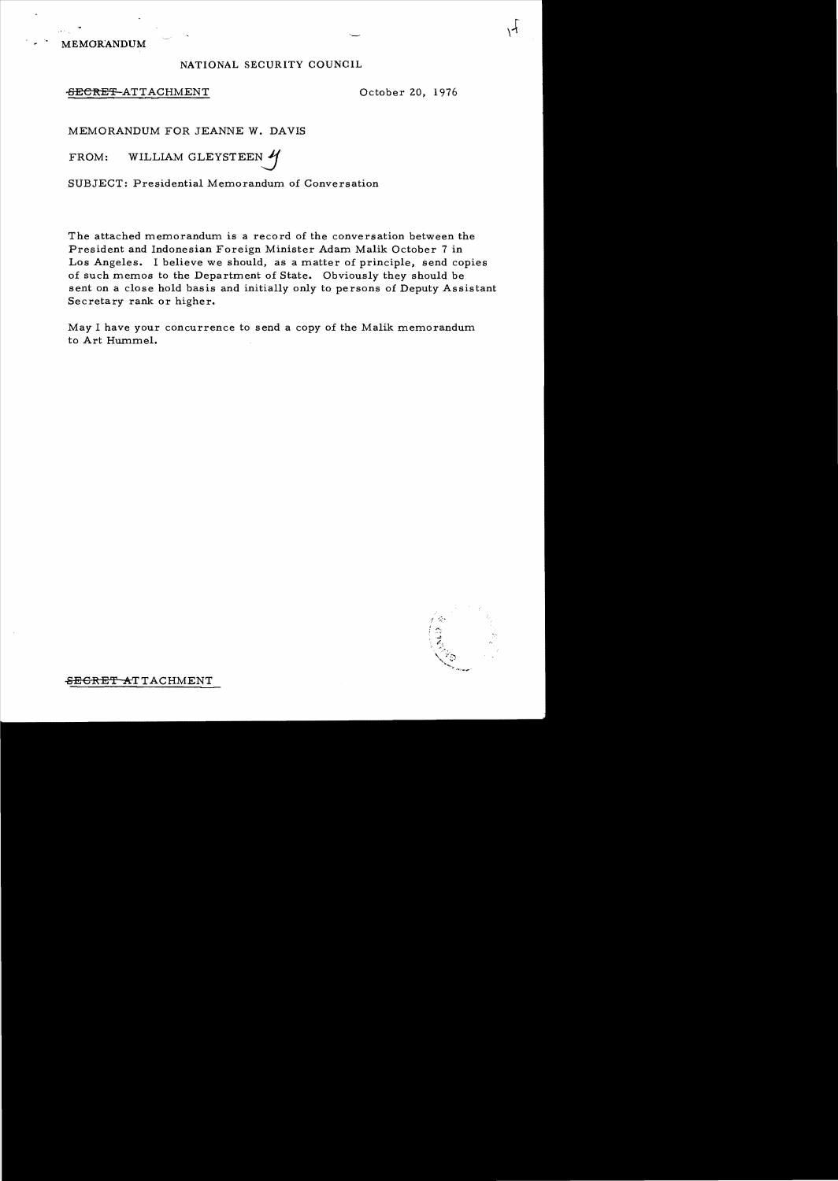MEMORANDUM

#### NATIONAL SECURITY COUNCIL

#### ~ECRE~ATTACHMENT October 20, 1976

 $\lambda$ 

MEMORANDUM FOR JEANNE W. DAVIS

FROM: WILLIAM GLEYSTEEN

SUBJECT: Presidential Memorandum of Conversation

The attached memorandum is a record of the conversation between the President and Indonesian Foreign Minister Adam Malik October 7 in Los Angeles. I believe we should, as a matter of principle, send copies of such memos to the Department of State. Obviously they should be sent on a close hold basis and initially only to persons of Deputy Assistant Secretary rank or higher.

May I have your concurrence to send a copy of the Malik memorandum to Art Hummel.



SEGRET ATTACHMENT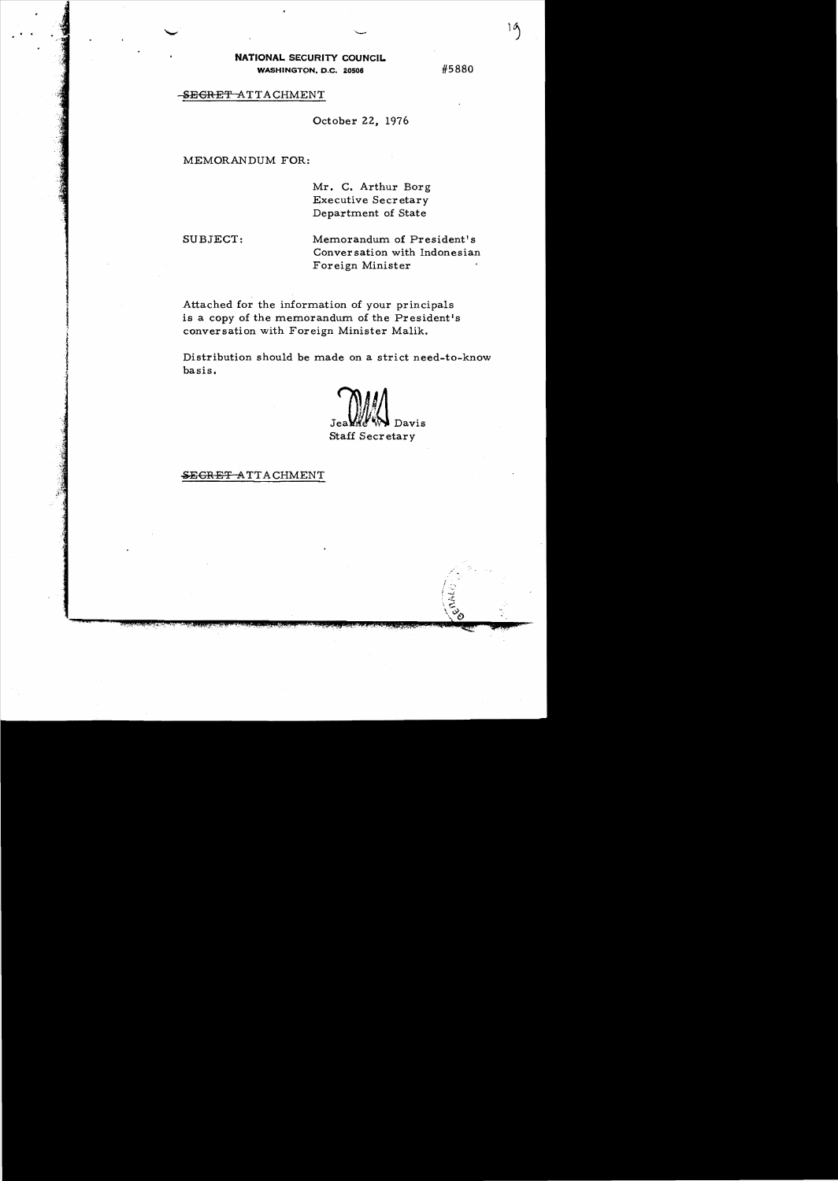**NATIONAL** SECURITY COUNCIL WASHINGTON, D.C. 20506

#5880

# SEGRET ATTACHMENT

October 22. 1976

#### MEMORANDUM FOR:

Mr. C. Arthur Borg Executive Secretary Department of State

.( 1·

> SUBJECT: Memorandum of President's Conver sation with Indonesian Foreign Minister

Attached for the information of your principals is a copy of the memorandum of the President's conversation with Foreign Minister Malik.

Distribution should be made on a strict need-to-know basis.

Davis Staff Secretary

### SEGRET ATTACHMENT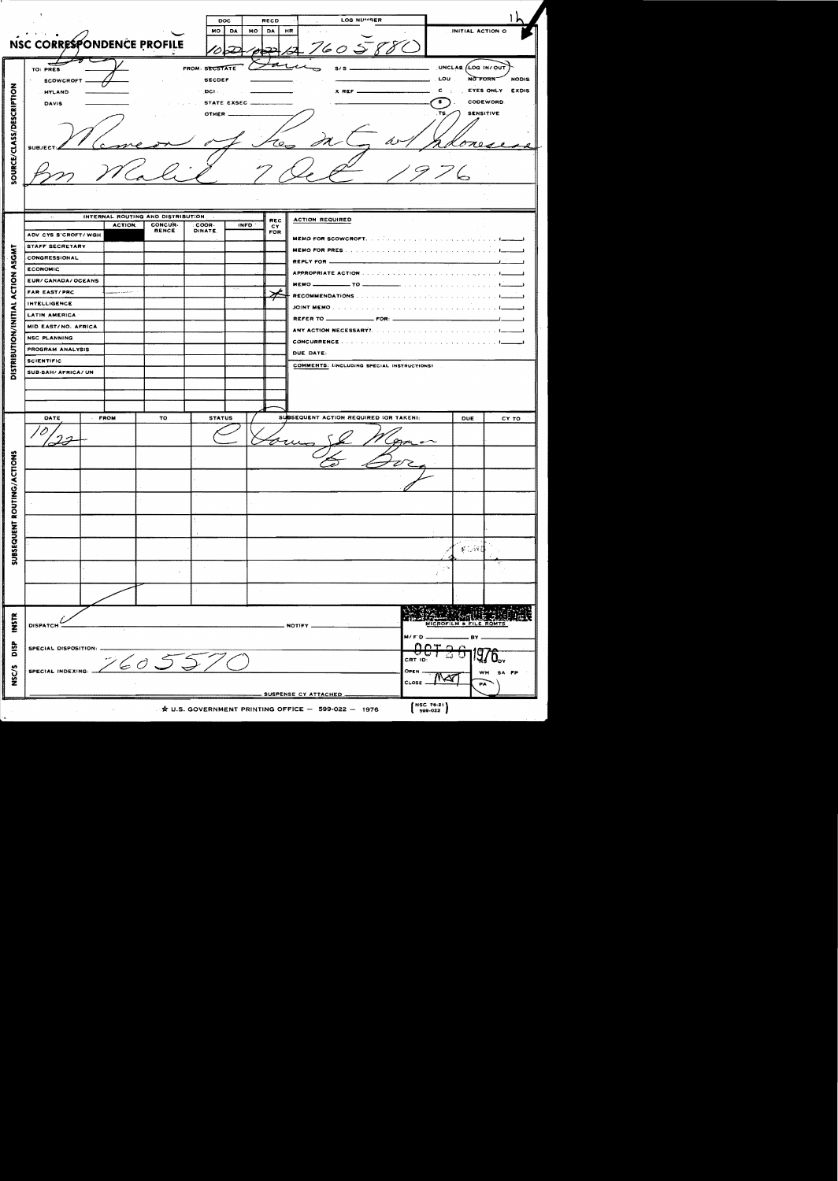|                            |                                    |                                                             |  |                                                               |                       | DOC             | RECD                                                                                                              | LOG NUMBER                                                                                  |                             |                          |                          |
|----------------------------|------------------------------------|-------------------------------------------------------------|--|---------------------------------------------------------------|-----------------------|-----------------|-------------------------------------------------------------------------------------------------------------------|---------------------------------------------------------------------------------------------|-----------------------------|--------------------------|--------------------------|
|                            |                                    |                                                             |  |                                                               | MO .                  | <b>DA</b><br>MO | DA                                                                                                                | HR                                                                                          |                             | INITIAL ACTION O         |                          |
|                            | NSC CORRESPONDENCE PROFILE         |                                                             |  |                                                               |                       |                 |                                                                                                                   |                                                                                             |                             |                          |                          |
|                            |                                    |                                                             |  |                                                               |                       |                 |                                                                                                                   | 760S                                                                                        |                             |                          |                          |
|                            |                                    |                                                             |  |                                                               | <b>FROM: SECSTATE</b> |                 |                                                                                                                   | $s/s =$                                                                                     |                             | UNCLAS (LOG IN/OUT       |                          |
|                            | TO: PRES                           |                                                             |  |                                                               |                       |                 |                                                                                                                   |                                                                                             | <b>LOU</b>                  | NO FORN                  | <b>NODIS</b>             |
|                            | <b>SECDEF</b><br><b>SCOWCROFT</b>  |                                                             |  |                                                               |                       |                 |                                                                                                                   |                                                                                             |                             |                          |                          |
|                            | <b>HYLAND</b>                      |                                                             |  | EYES ONLY<br>X REF _<br>$\sim$ DCF $\sim$ .<br>з.<br>CODEWORD |                       |                 |                                                                                                                   |                                                                                             |                             |                          | <b>EXDIS</b>             |
| <b>DAVIS</b>               |                                    |                                                             |  |                                                               |                       |                 |                                                                                                                   |                                                                                             |                             |                          |                          |
|                            | <b>SENSITIVE</b><br>OTHER          |                                                             |  |                                                               |                       |                 |                                                                                                                   |                                                                                             |                             |                          |                          |
|                            |                                    |                                                             |  |                                                               |                       |                 |                                                                                                                   |                                                                                             |                             |                          |                          |
| SOURCE/CLASS/DESCRIPTION   |                                    |                                                             |  |                                                               |                       |                 |                                                                                                                   |                                                                                             |                             |                          |                          |
|                            | <b>SUBJE</b>                       |                                                             |  |                                                               |                       |                 |                                                                                                                   |                                                                                             |                             |                          |                          |
|                            |                                    |                                                             |  |                                                               |                       |                 |                                                                                                                   |                                                                                             |                             |                          |                          |
|                            |                                    |                                                             |  |                                                               |                       |                 |                                                                                                                   |                                                                                             |                             |                          |                          |
|                            |                                    |                                                             |  |                                                               |                       |                 |                                                                                                                   |                                                                                             |                             |                          |                          |
|                            |                                    |                                                             |  |                                                               |                       |                 |                                                                                                                   |                                                                                             |                             |                          |                          |
|                            |                                    |                                                             |  |                                                               |                       |                 |                                                                                                                   |                                                                                             |                             |                          |                          |
|                            | 1951                               | INTERNAL ROUTING AND DISTRIBUTION<br><b>ACTION REQUIRED</b> |  |                                                               |                       |                 |                                                                                                                   |                                                                                             |                             |                          |                          |
|                            | CONCUR-<br><b>ACTION.</b><br>RENCE |                                                             |  | COOR-<br>DINATE,                                              | <b>INFD</b>           | REC<br>C۲       |                                                                                                                   |                                                                                             |                             |                          |                          |
|                            | ADV CYS S'CROFT/WGH                |                                                             |  |                                                               |                       |                 | FOR                                                                                                               |                                                                                             |                             |                          |                          |
|                            |                                    | STAFF SECRETARY                                             |  |                                                               |                       |                 |                                                                                                                   |                                                                                             |                             |                          | $\overline{\phantom{0}}$ |
| ASGMT                      | CONGRESSIONAL                      |                                                             |  |                                                               |                       |                 | REPLY FOR                                                                                                         |                                                                                             |                             | $\overline{\phantom{a}}$ |                          |
|                            | <b>ECONOMIC</b>                    |                                                             |  |                                                               |                       |                 |                                                                                                                   |                                                                                             |                             | —∔                       |                          |
| <b>CTION</b>               | <b>EUR/CANADA/OCEANS</b>           |                                                             |  |                                                               |                       |                 | <b>MEMO Example 10 TO Example 20 Example 20 Example 20 Example 20 Example 20 Example 20 Example 20 Example 20</b> |                                                                                             |                             | $\overline{\phantom{a}}$ |                          |
|                            | <b>FAR EAST/PRC</b>                | <b>Contract Service Advised Assessment Contract</b>         |  |                                                               |                       |                 |                                                                                                                   |                                                                                             |                             |                          |                          |
| ⋖                          | <b>INTELLIGENCE</b>                |                                                             |  |                                                               |                       |                 |                                                                                                                   |                                                                                             |                             |                          |                          |
|                            | <b>LATIN AMERICA</b>               |                                                             |  |                                                               |                       |                 |                                                                                                                   |                                                                                             |                             |                          |                          |
|                            | MID EAST/NO. AFRICA                |                                                             |  |                                                               |                       |                 |                                                                                                                   |                                                                                             |                             | المستحسنات               |                          |
|                            | <b>NSC PLANNING</b>                |                                                             |  |                                                               |                       |                 |                                                                                                                   |                                                                                             |                             |                          |                          |
|                            | PROGRAM ANALYSIS                   |                                                             |  |                                                               |                       |                 |                                                                                                                   |                                                                                             |                             |                          |                          |
| DISTRIBUTION/INITIAL       | <b>SCIENTIFIC</b>                  |                                                             |  |                                                               |                       |                 | DUE DATE:                                                                                                         |                                                                                             |                             |                          |                          |
|                            | SUB-SAH/ AFRICA/ UN                |                                                             |  |                                                               |                       |                 | COMMENTS: LINCLUDING SPECIAL INSTRUCTIONS)                                                                        |                                                                                             |                             |                          |                          |
|                            |                                    |                                                             |  |                                                               |                       |                 |                                                                                                                   |                                                                                             |                             |                          |                          |
|                            |                                    |                                                             |  |                                                               |                       |                 |                                                                                                                   |                                                                                             |                             |                          |                          |
|                            |                                    |                                                             |  |                                                               |                       |                 |                                                                                                                   |                                                                                             |                             |                          |                          |
|                            | DATE                               | <b>FROM</b>                                                 |  | TO                                                            | <b>STATUS</b>         |                 |                                                                                                                   | SUBSEQUENT ACTION REQUIRED (OR TAKEN):                                                      |                             | <b>DUE</b>               | CY TO                    |
|                            |                                    |                                                             |  |                                                               |                       |                 |                                                                                                                   |                                                                                             |                             |                          |                          |
|                            |                                    |                                                             |  |                                                               |                       |                 |                                                                                                                   |                                                                                             |                             |                          |                          |
|                            | $\overline{\mathscr{L}}$           |                                                             |  |                                                               |                       |                 | Gow                                                                                                               |                                                                                             |                             |                          |                          |
|                            |                                    |                                                             |  |                                                               |                       |                 |                                                                                                                   |                                                                                             |                             |                          |                          |
|                            |                                    |                                                             |  |                                                               |                       |                 |                                                                                                                   |                                                                                             |                             |                          |                          |
|                            |                                    |                                                             |  |                                                               |                       |                 |                                                                                                                   |                                                                                             |                             |                          |                          |
|                            |                                    |                                                             |  |                                                               |                       |                 |                                                                                                                   |                                                                                             |                             |                          |                          |
|                            |                                    |                                                             |  |                                                               |                       |                 |                                                                                                                   |                                                                                             |                             |                          |                          |
|                            |                                    |                                                             |  |                                                               |                       |                 |                                                                                                                   |                                                                                             |                             |                          |                          |
|                            |                                    |                                                             |  |                                                               |                       |                 |                                                                                                                   |                                                                                             |                             |                          |                          |
|                            |                                    |                                                             |  |                                                               |                       |                 |                                                                                                                   |                                                                                             |                             |                          |                          |
|                            |                                    |                                                             |  |                                                               |                       |                 |                                                                                                                   |                                                                                             |                             |                          |                          |
|                            |                                    |                                                             |  |                                                               |                       |                 |                                                                                                                   |                                                                                             |                             |                          |                          |
|                            |                                    |                                                             |  |                                                               |                       |                 |                                                                                                                   |                                                                                             |                             | 案 (分詞)                   |                          |
| SUBSEQUENT ROUTING/ACTIONS |                                    |                                                             |  |                                                               |                       |                 |                                                                                                                   |                                                                                             |                             |                          |                          |
|                            |                                    |                                                             |  |                                                               |                       |                 |                                                                                                                   |                                                                                             |                             |                          |                          |
|                            |                                    |                                                             |  |                                                               |                       |                 |                                                                                                                   |                                                                                             |                             |                          |                          |
|                            |                                    |                                                             |  |                                                               |                       |                 |                                                                                                                   |                                                                                             |                             |                          |                          |
|                            |                                    |                                                             |  |                                                               |                       |                 |                                                                                                                   |                                                                                             |                             |                          |                          |
|                            | <b>DISPATCH</b>                    |                                                             |  |                                                               |                       |                 |                                                                                                                   | NOTIFY .                                                                                    |                             | MICROFILM & FILE ROMTS   |                          |
| INSTR                      |                                    |                                                             |  |                                                               |                       |                 |                                                                                                                   |                                                                                             | M/FD                        | ΒY                       |                          |
|                            | SPECIAL DISPOSITION:               |                                                             |  |                                                               |                       |                 |                                                                                                                   |                                                                                             |                             |                          |                          |
| DISP                       |                                    |                                                             |  |                                                               |                       |                 |                                                                                                                   |                                                                                             | CRT ID                      |                          |                          |
|                            |                                    |                                                             |  | 760557C                                                       |                       |                 |                                                                                                                   |                                                                                             | OPEN                        |                          |                          |
|                            | SPECIAL INDEXING:                  |                                                             |  |                                                               |                       |                 |                                                                                                                   |                                                                                             | CLOSE                       |                          | <b>WH</b><br>SA FP       |
| NSC/5                      |                                    |                                                             |  |                                                               |                       |                 |                                                                                                                   |                                                                                             |                             | PA                       |                          |
|                            |                                    |                                                             |  |                                                               |                       |                 |                                                                                                                   | SUSPENSE CY ATTACHED<br>$\mathbf{\hat{x}}$ U.S. GOVERNMENT PRINTING OFFICE - 599-022 - 1976 | <b>NSC 76-21</b><br>599-022 |                          |                          |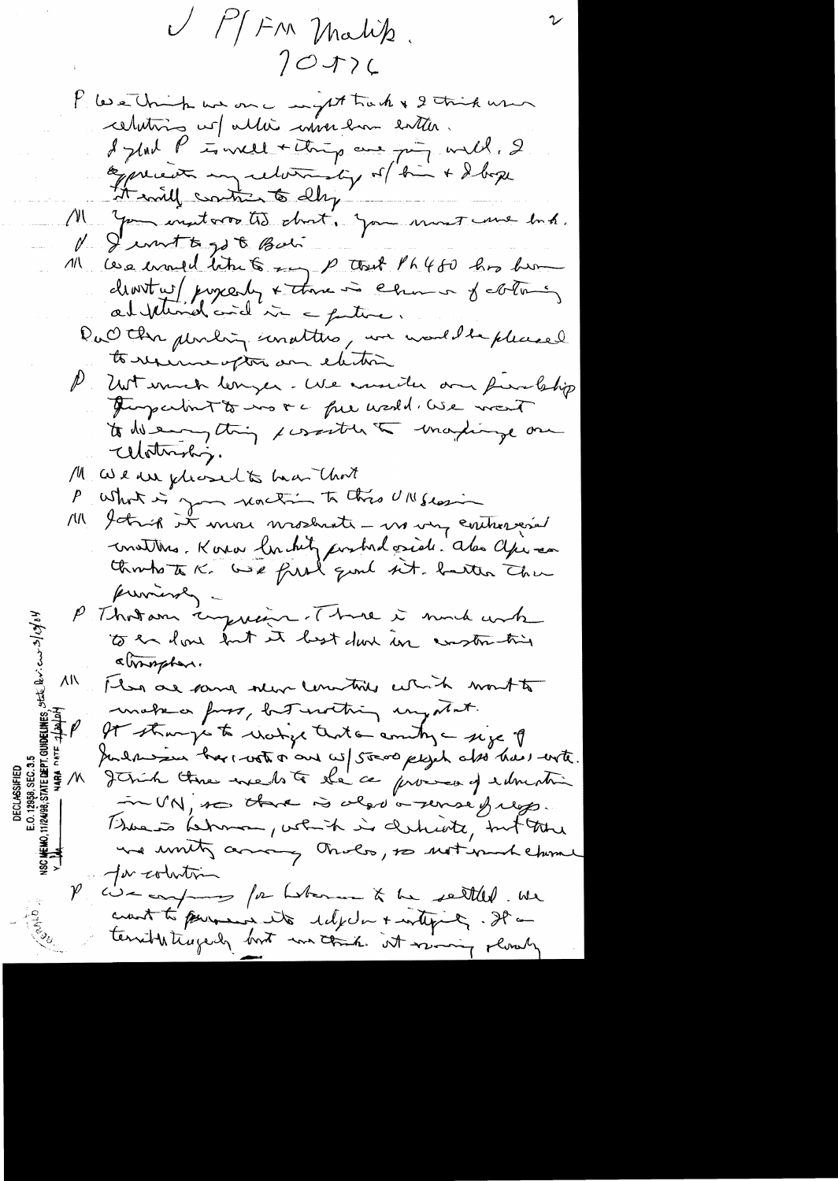V MFM Malik.  $70J$ l'ese trip une me magnet track & 2 tris user celating us allie invertime entier. I glad P is well + things are going with, 2 be precedent my returnating of him + I box it will continue to dly' Ma you insitare to dont. you must une but. V. Jernett got Bali 11 ces enough time to say p that Ph480 his home clientes/ poycesty + there is changes of coloring DuO the pending unatters, we would be pleased to reserve option and electric P Unt wurde lenger. We would an fundship Turperbut to no re fue world. We want to de empting x contre la martinge one Watership. M We we pleased to har that What is you reaching to this UNISLAIN  $P_{\perp}$ M Yoking it more mostrate - moving controvered constitues. Korra lor hitz postadaside des apieces provinces -P Thoron inquire. There is much unk to an love but it best done in construction atmosphere. ΛN I has are some selen committed which won't to make a fors, but writing mystat. It strangs to ricitize that a anity - size of Julhosan harrotta and wil steve plych also has with. **LASSIFIED**<br>958, SEC. 3.<br>STATE DEPT. Jetrih time medite de ce promos y edmenti  $\mathcal{N}$ in UN, so threw is also a sense freqs. There is helmon, which is derhiote, but the we unity array thats, so not much chime for colution cise compares for hoteran & he settled. We crant to personal its delphar + withink, It terrible tragedy bort in that it was y slowly

DECI